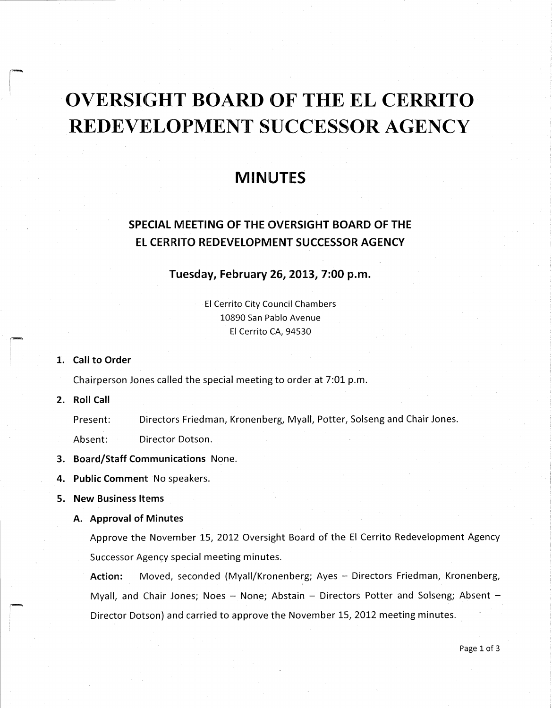# OVERSIGHT BOARD OF THE EL CERRITO REDEVELOPMENT SUCCESSOR AGENCY

## MINUTES

### SPECIAL MEETING OF THE OVERSIGHT BOARD OF THE EL CERRITO REDEVELOPMENT SUCCESSOR AGENCY

#### Tuesday, February 26, 2013, 7:00 p.m.

El Cerrito City Council Chambers 10890 San Pablo Avenue El Cerrito CA, 94530

#### 1. Call to Order

Chairperson Jones called the special meeting to order at 7:01 p.m.

#### 2. Roll Call

Present: Directors Friedman, Kronenberg, Myall, Potter, Solseng and Chair Jones.

Absent: Director Dotson.

3. Board/Staff Communications None.

4. Public Comment No speakers.

#### 5. New Business Items

#### A. Approval of Minutes

Approve the November 15, 2012 Oversight Board of the El Cerrito Redevelopment Agency Successor Agency special meeting minutes.

Action: Moved, seconded (Myall/Kronenberg; Ayes - Directors Friedman, Kronenberg, Myall, and Chair Jones; Noes — None; Abstain — Directors Potter and Solseng; Absent — Director Dotson) and carried to approve the November 15, 2012 meeting minutes.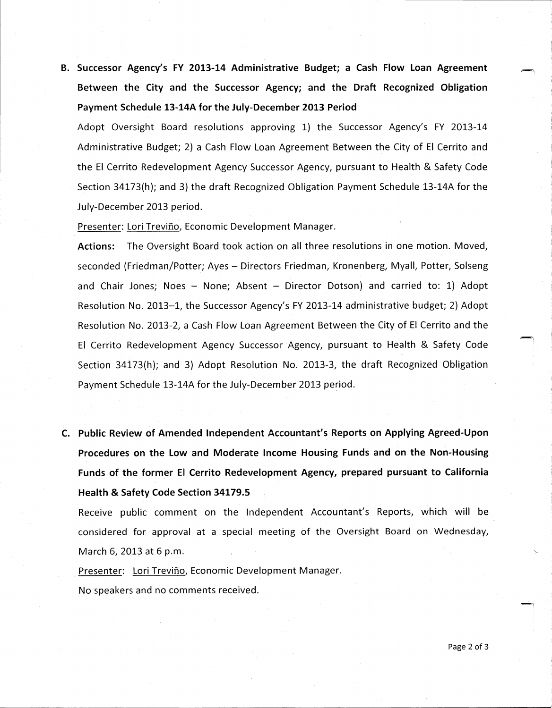B. Successor Agency's FY 2013-14 Administrative Budget; a Cash Flow Loan Agreement Between the City and the Successor Agency; and the Draft Recognized Obligation Payment Schedule 13-14A for the July-December 2013 Period

Adopt Oversight Board resolutions approving 1) the Successor Agency's FY 2013-14 Administrative Budget; 2) <sup>a</sup> Cash Flow Loan Agreement Between the City of El Cerrito and the El Cerrito Redevelopment Agency Successor Agency, <sup>p</sup> ursuant to Health & Safety Code Section 34173(h); and 3) the draft Recognized Obligation Payment Schedule 13-14A for the July- December 2013 period.

Presenter: Lori Treviño, Economic Development Manager.

Actions: The Oversight Board took action on all three resolutions in one motion. Moved, seconded (Friedman/Potter; Ayes - Directors Friedman, Kronenberg, Myall, Potter, Solseng and Chair Jones; Noes — None; Absent — Director Dotson) and carried to: 1) Adopt Resolution No. 2013-1, the Successor Agency's FY 2013-14 administrative budget; 2) Adopt Resolution No. 2013-2, a Cash Flow Loan Agreement Between the City of El Cerrito and the El Cerrito Redevelopment Agency Successor Agency, <sup>p</sup> ursuant to Health & Safety Code Section 34173(h); and 3) Adopt Resolution No. 2013-3, the draft Recognized Obligation Payment Schedule 13- 14A for the July- December 2013 period.

C. Public Review of Amended Independent Accountant's Reports on Applying Agreed-Upon Procedures on the Low and Moderate Income Housing Funds and on the Non-Housing Funds of the former El Cerrito Redevelopment Agency, prepared pursuant to California Health & Safety Code Section 34179. <sup>5</sup>

Receive public comment on the Independent Accountant's Reports, which will be considered for approval at <sup>a</sup> special meeting of the Oversight Board on Wednesday, March 6, 2013 at 6 p.m.

Presenter: Lori Treviño, Economic Development Manager. No speakers and no comments received.